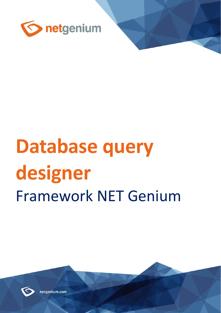

# **Database query designer** Framework NET Genium



netgenium.com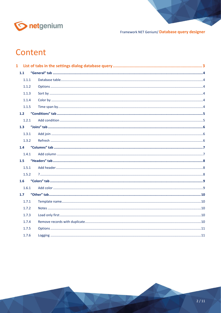

# Content

| 1.1   |  |
|-------|--|
| 1.1.1 |  |
| 1.1.2 |  |
| 1.1.3 |  |
| 1.1.4 |  |
| 1.1.5 |  |
| 1.2   |  |
| 1.2.1 |  |
| 1.3   |  |
| 1.3.1 |  |
| 1.3.2 |  |
| 1.4   |  |
| 1.4.1 |  |
| 1.5   |  |
| 1.5.1 |  |
| 1.5.2 |  |
| 1.6   |  |
| 1.6.1 |  |
| 1.7   |  |
| 1.7.1 |  |
| 1.7.2 |  |
| 1.7.3 |  |
| 1.7.4 |  |
| 1.7.5 |  |
| 1.7.6 |  |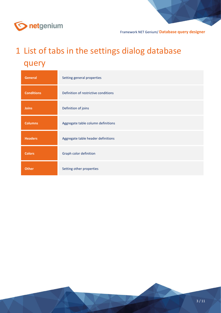

# <span id="page-2-0"></span>1 List of tabs in the settings dialog database query

| <b>General</b>    | Setting general properties           |
|-------------------|--------------------------------------|
| <b>Conditions</b> | Definition of restrictive conditions |
| <b>Joins</b>      | Definition of joins                  |
| <b>Columns</b>    | Aggregate table column definitions   |
| <b>Headers</b>    | Aggregate table header definitions   |
| <b>Colors</b>     | Graph color definition               |
| <b>Other</b>      | Setting other properties             |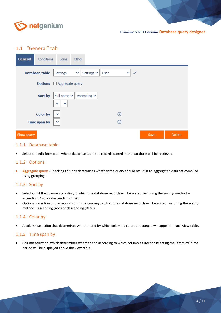

Framework NET Genium/ **Database query designer**

### <span id="page-3-0"></span>1.1 "General" tab

| <b>General</b> | Conditions                            | Joins                                            | Other        |                  |      |                |              |      |        |
|----------------|---------------------------------------|--------------------------------------------------|--------------|------------------|------|----------------|--------------|------|--------|
|                | <b>Database table</b>                 | Settings                                         | $\checkmark$ | Settings $\vee$  | User | ×.             | $\checkmark$ |      |        |
|                | <b>Options</b> $\Box$ Aggregate query |                                                  |              |                  |      |                |              |      |        |
|                | Sort by                               | Full name $\sim$<br>$\checkmark$<br>$\checkmark$ |              | Ascending $\sim$ |      |                |              |      |        |
|                | <b>Color by</b>                       | $\checkmark$                                     |              |                  |      | ②              |              |      |        |
|                | Time span by                          | $\checkmark$                                     |              |                  |      | $^{\circledR}$ |              |      |        |
| Show query     |                                       |                                                  |              |                  |      |                |              | Save | Delete |

#### <span id="page-3-1"></span>1.1.1 Database table

• Select the edit form from whose database table the records stored in the database will be retrieved.

#### <span id="page-3-2"></span>1.1.2 Options

• **Aggregate query** - Checking this box determines whether the query should result in an aggregated data set compiled using grouping.

#### <span id="page-3-3"></span>1.1.3 Sort by

- Selection of the column according to which the database records will be sorted, including the sorting method ascending (ASC) or descending (DESC).
- Optional selection of the second column according to which the database records will be sorted, including the sorting method – ascending (ASC) or descending (DESC).

#### <span id="page-3-4"></span>1.1.4 Color by

• A column selection that determines whether and by which column a colored rectangle will appear in each view table.

#### <span id="page-3-5"></span>1.1.5 Time span by

• Column selection, which determines whether and according to which column a filter for selecting the "from-to" time period will be displayed above the view table.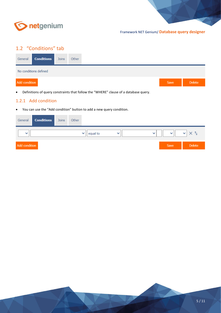

# <span id="page-4-0"></span>1.2 "Conditions" tab

| General       | <b>Conditions</b>     | Joins | Other |  |      |               |
|---------------|-----------------------|-------|-------|--|------|---------------|
|               | No conditions defined |       |       |  |      |               |
| Add condition |                       |       |       |  | Save | <b>Delete</b> |

• Definitions of query constraints that follow the "WHERE" clause of a database query.

#### <span id="page-4-1"></span>1.2.1 Add condition

• You can use the "Add condition" button to add a new query condition.

| General       | <b>Conditions</b> | Joins | Other |                          |              |              |              |               |
|---------------|-------------------|-------|-------|--------------------------|--------------|--------------|--------------|---------------|
| $\checkmark$  |                   |       |       | equal to<br>$\checkmark$ | $\checkmark$ | $\checkmark$ | $\checkmark$ | $\checkmark$  |
| Add condition |                   |       |       |                          |              |              | Save         | <b>Delete</b> |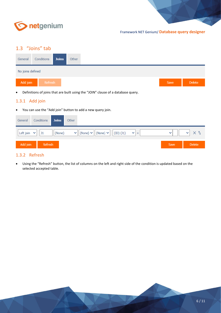

# <span id="page-5-0"></span>1.3 "Joins" tab

| General          | Conditions <b>Joins</b> | Other |  |  |
|------------------|-------------------------|-------|--|--|
| No joins defined |                         |       |  |  |
|                  |                         |       |  |  |

• Definitions of joins that are built using the "JOIN" clause of a database query.

#### <span id="page-5-1"></span>1.3.1 Add join

• You can use the "Add join" button to add a new query join.

| General   | Conditions         | <b>Joins</b> | Other          |                                                                                           |              |        |
|-----------|--------------------|--------------|----------------|-------------------------------------------------------------------------------------------|--------------|--------|
| Left join | J1<br>$\checkmark$ | (None)       | $\mathbf{v}_1$ | $\vert$ (None) $\vee$ $\vert$ (None) $\vee$ $\vert$<br>(ID) (J1)<br>$\mathbf{v}_1$<br>$=$ | $\checkmark$ |        |
| Add join  | Refresh            |              |                |                                                                                           | Save         | Delete |

#### <span id="page-5-2"></span>1.3.2 Refresh

• Using the "Refresh" button, the list of columns on the left and right side of the condition is updated based on the selected accepted table.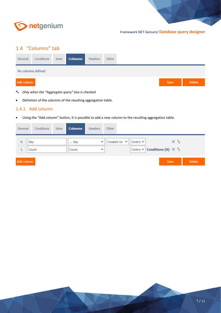

# <span id="page-6-0"></span>1.4 "Columns" tab

| General            | Conditions | Joins | <b>Columns</b> | Headers | Other |  |      |        |
|--------------------|------------|-------|----------------|---------|-------|--|------|--------|
| No columns defined |            |       |                |         |       |  |      |        |
| Add column         |            |       |                |         |       |  | Save | Delete |

- *Only when the "Aggregate query" box is checked*
- Definition of the columns of the resulting aggregation table.

#### <span id="page-6-1"></span>1.4.1 Add column

• Using the "Add column" button, it is possible to add a new column to the resulting aggregation table.

| General    |              | Conditions | <b>Joins</b> | Columns      | <b>Headers</b>               | Other |                                                                     |                                                               |               |
|------------|--------------|------------|--------------|--------------|------------------------------|-------|---------------------------------------------------------------------|---------------------------------------------------------------|---------------|
| 0.<br>1.   | Day<br>Count |            |              | day<br>Count | $\checkmark$<br>$\checkmark$ |       | Created on $\vert \mathbf{v} \vert \vert$ Centre $\mathbf{v} \vert$ | ΧĿ<br>Centre $\vee$ <b>Conditions (0)</b> $\times$ $\uparrow$ |               |
| Add column |              |            |              |              |                              |       |                                                                     | Save                                                          | <b>Delete</b> |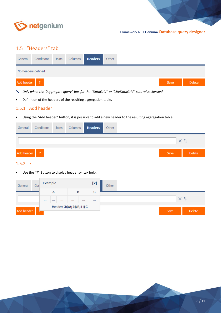

# <span id="page-7-0"></span>1.5 "Headers" tab

| General            | Conditions | Joins | Columns | <b>Headers</b> | Other |  |      |  |
|--------------------|------------|-------|---------|----------------|-------|--|------|--|
| No headers defined |            |       |         |                |       |  |      |  |
| Add header ?       |            |       |         |                |       |  | Save |  |

- *Only when the "Aggregate query" box for the "DataGrid" or "LiteDataGrid" control is checked*
- Definition of the headers of the resulting aggregation table.

#### <span id="page-7-1"></span>1.5.1 Add header

• Using the "Add header" button, it is possible to add a new header to the resulting aggregation table.

| General    | Conditions Joins |  | Columns <b>Headers</b> | Other |  |              |               |
|------------|------------------|--|------------------------|-------|--|--------------|---------------|
|            |                  |  |                        |       |  | $\checkmark$ | - 11          |
| Add header | $\sqrt{2}$       |  |                        |       |  | Save         | <b>Delete</b> |

#### <span id="page-7-2"></span>1.5.2 ?

• Use the "?" Button to display header syntax help.

| General    | Cor | <b>Example</b> |   |          |          |                     | [x] | Other          |
|------------|-----|----------------|---|----------|----------|---------------------|-----|----------------|
|            |     |                | A |          |          | B                   | c   |                |
|            |     |                |   | $\cdots$ | $\cdots$ | $\cdots$            |     |                |
|            |     |                |   |          |          | Header: 3@A;2@B;1@C |     |                |
| Add header |     |                |   |          |          |                     |     | Delete<br>Save |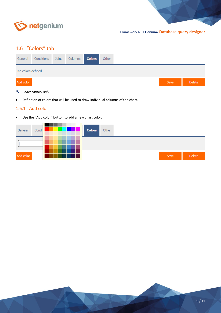

# <span id="page-8-0"></span>1.6 "Colors" tab

| General           | Conditions | Joins | Columns <b>Colors</b> | Other |  |      |  |
|-------------------|------------|-------|-----------------------|-------|--|------|--|
| No colors defined |            |       |                       |       |  |      |  |
| Add color         |            |       |                       |       |  | Save |  |

- *Chart control only*
- Definition of colors that will be used to draw individual columns of the chart.

#### <span id="page-8-1"></span>1.6.1 Add color

• Use the "Add color" button to add a new chart color.

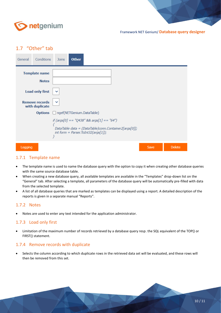

## <span id="page-9-0"></span>1.7 "Other" tab

| General | Conditions                              | <b>Joins</b>                       | <b>Other</b> |                                                                                               |                                                       |      |               |
|---------|-----------------------------------------|------------------------------------|--------------|-----------------------------------------------------------------------------------------------|-------------------------------------------------------|------|---------------|
|         | <b>Template name</b><br><b>Notes</b>    |                                    |              |                                                                                               |                                                       |      |               |
|         | <b>Load only first</b>                  |                                    |              |                                                                                               |                                                       |      |               |
|         | <b>Remove records</b><br>with duplicate |                                    |              |                                                                                               |                                                       |      |               |
|         |                                         | Options  agef(NETGenium.DataTable) |              |                                                                                               |                                                       |      |               |
|         |                                         | }                                  |              | if $(\arg s[0] == "Q438"$ && $\arg s[1] == "64")$<br>int form = Parser. ToInt32( $args[1]$ ); | DataTable data = (DataTable)conn.Container2[args[0]]; |      |               |
| Logging |                                         |                                    |              |                                                                                               |                                                       | Save | <b>Delete</b> |

#### <span id="page-9-1"></span>1.7.1 Template name

- The template name is used to name the database query with the option to copy it when creating other database queries with the same source database table.
- When creating a new database query, all available templates are available in the "Templates" drop-down list on the "General" tab. After selecting a template, all parameters of the database query will be automatically pre-filled with data from the selected template.
- A list of all database queries that are marked as templates can be displayed using a report. A detailed description of the reports is given in a separate manual "Reports".

#### <span id="page-9-2"></span>1.7.2 Notes

• Notes are used to enter any text intended for the application administrator.

#### <span id="page-9-3"></span>1.7.3 Load only first

• Limitation of the maximum number of records retrieved by a database query resp. the SQL equivalent of the TOP() or FIRST() statement.

#### <span id="page-9-4"></span>1.7.4 Remove records with duplicate

• Selects the column according to which duplicate rows in the retrieved data set will be evaluated, and these rows will then be removed from this set.